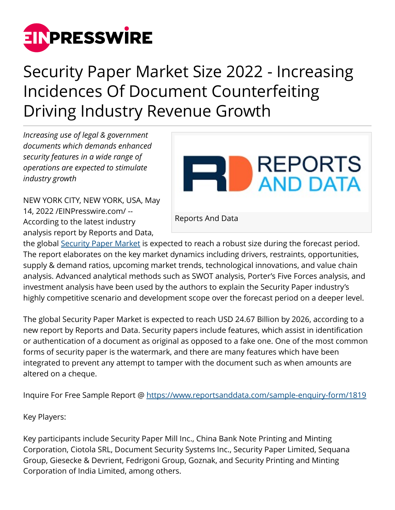

## Security Paper Market Size 2022 - Increasing Incidences Of Document Counterfeiting Driving Industry Revenue Growth

*Increasing use of legal & government documents which demands enhanced security features in a wide range of operations are expected to stimulate industry growth*

**REPORTS BU REPORTS** 

NEW YORK CITY, NEW YORK, USA, May 14, 2022 /[EINPresswire.com/](http://www.einpresswire.com) -- According to the latest industry analysis report by Reports and Data,

Reports And Data

the global [Security Paper Market](https://www.reportsanddata.com/report-detail/security-paper-market) is expected to reach a robust size during the forecast period. The report elaborates on the key market dynamics including drivers, restraints, opportunities, supply & demand ratios, upcoming market trends, technological innovations, and value chain analysis. Advanced analytical methods such as SWOT analysis, Porter's Five Forces analysis, and investment analysis have been used by the authors to explain the Security Paper industry's highly competitive scenario and development scope over the forecast period on a deeper level.

The global Security Paper Market is expected to reach USD 24.67 Billion by 2026, according to a new report by Reports and Data. Security papers include features, which assist in identification or authentication of a document as original as opposed to a fake one. One of the most common forms of security paper is the watermark, and there are many features which have been integrated to prevent any attempt to tamper with the document such as when amounts are altered on a cheque.

Inquire For Free Sample Report @<https://www.reportsanddata.com/sample-enquiry-form/1819>

Key Players:

Key participants include Security Paper Mill Inc., China Bank Note Printing and Minting Corporation, Ciotola SRL, Document Security Systems Inc., Security Paper Limited, Sequana Group, Giesecke & Devrient, Fedrigoni Group, Goznak, and Security Printing and Minting Corporation of India Limited, among others.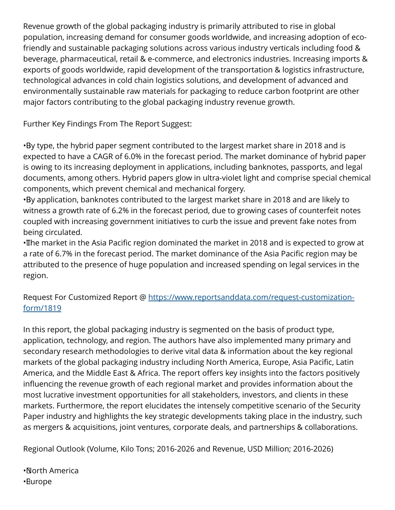Revenue growth of the global packaging industry is primarily attributed to rise in global population, increasing demand for consumer goods worldwide, and increasing adoption of ecofriendly and sustainable packaging solutions across various industry verticals including food & beverage, pharmaceutical, retail & e-commerce, and electronics industries. Increasing imports & exports of goods worldwide, rapid development of the transportation & logistics infrastructure, technological advances in cold chain logistics solutions, and development of advanced and environmentally sustainable raw materials for packaging to reduce carbon footprint are other major factors contributing to the global packaging industry revenue growth.

Further Key Findings From The Report Suggest:

• By type, the hybrid paper segment contributed to the largest market share in 2018 and is expected to have a CAGR of 6.0% in the forecast period. The market dominance of hybrid paper is owing to its increasing deployment in applications, including banknotes, passports, and legal documents, among others. Hybrid papers glow in ultra-violet light and comprise special chemical components, which prevent chemical and mechanical forgery.

• By application, banknotes contributed to the largest market share in 2018 and are likely to witness a growth rate of 6.2% in the forecast period, due to growing cases of counterfeit notes coupled with increasing government initiatives to curb the issue and prevent fake notes from being circulated.

• The market in the Asia Pacific region dominated the market in 2018 and is expected to grow at a rate of 6.7% in the forecast period. The market dominance of the Asia Pacific region may be attributed to the presence of huge population and increased spending on legal services in the region.

Request For Customized Report @ [https://www.reportsanddata.com/request-customization](https://www.reportsanddata.com/request-customization-form/1819)[form/1819](https://www.reportsanddata.com/request-customization-form/1819)

In this report, the global packaging industry is segmented on the basis of product type, application, technology, and region. The authors have also implemented many primary and secondary research methodologies to derive vital data & information about the key regional markets of the global packaging industry including North America, Europe, Asia Pacific, Latin America, and the Middle East & Africa. The report offers key insights into the factors positively influencing the revenue growth of each regional market and provides information about the most lucrative investment opportunities for all stakeholders, investors, and clients in these markets. Furthermore, the report elucidates the intensely competitive scenario of the Security Paper industry and highlights the key strategic developments taking place in the industry, such as mergers & acquisitions, joint ventures, corporate deals, and partnerships & collaborations.

Regional Outlook (Volume, Kilo Tons; 2016-2026 and Revenue, USD Million; 2016-2026)

## • North America

## • Europe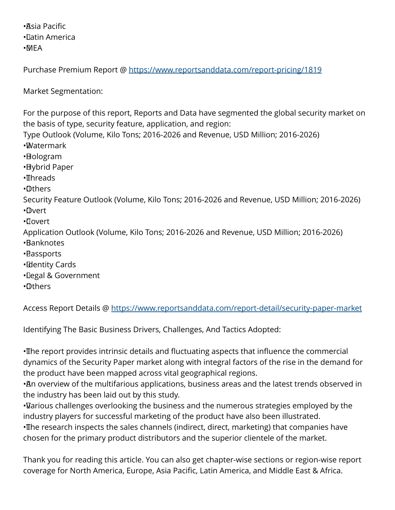• Asia Pacific • Latin America • MEA

Purchase Premium Report @ <https://www.reportsanddata.com/report-pricing/1819>

Market Segmentation:

For the purpose of this report, Reports and Data have segmented the global security market on the basis of type, security feature, application, and region:

Type Outlook (Volume, Kilo Tons; 2016-2026 and Revenue, USD Million; 2016-2026)

- • Watermark
- • Hologram
- • Hybrid Paper
- •**Threads**
- • Others

Security Feature Outlook (Volume, Kilo Tons; 2016-2026 and Revenue, USD Million; 2016-2026) • Overt

• Covert

Application Outlook (Volume, Kilo Tons; 2016-2026 and Revenue, USD Million; 2016-2026) • Banknotes

- • Passports
- • Identity Cards
- • Legal & Government
- • Others

Access Report Details @<https://www.reportsanddata.com/report-detail/security-paper-market>

Identifying The Basic Business Drivers, Challenges, And Tactics Adopted:

• The report provides intrinsic details and fluctuating aspects that influence the commercial dynamics of the Security Paper market along with integral factors of the rise in the demand for the product have been mapped across vital geographical regions.

• An overview of the multifarious applications, business areas and the latest trends observed in the industry has been laid out by this study.

• Various challenges overlooking the business and the numerous strategies employed by the industry players for successful marketing of the product have also been illustrated. • The research inspects the sales channels (indirect, direct, marketing) that companies have chosen for the primary product distributors and the superior clientele of the market.

Thank you for reading this article. You can also get chapter-wise sections or region-wise report coverage for North America, Europe, Asia Pacific, Latin America, and Middle East & Africa.